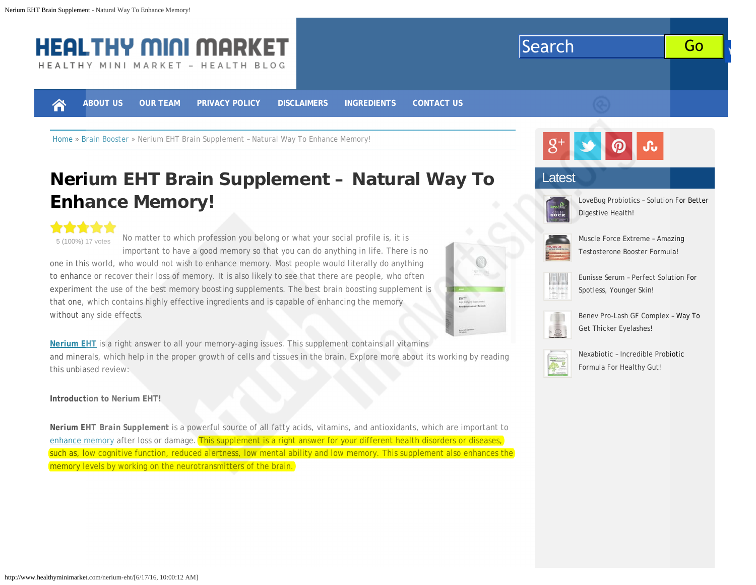<span id="page-0-0"></span>

# **[Nerium EHT Brain Supplement – Natural Way To](#page-0-0) [Enhance Memory!](#page-0-0)**

\*\*\*\*\* No matter to which profession you belong or what your social profile is, it is 5 (100%) 17 votes important to have a good memory so that you can do anything in life. There is no one in this world, who would not wish to enhance memory. Most people would literally do anything to enhance or recover their loss of memory. It is also likely to see that there are people, who often experiment the use of the best memory boosting supplements. The best brain boosting supplement is that one, which contains highly effective ingredients and is capable of enhancing the memory without any side effects.

**[Nerium EHT](#page-0-0)** is a right answer to all your memory-aging issues. This supplement contains all vitamins and minerals, which help in the proper growth of cells and tissues in the brain. Explore more about its working by reading this unbiased review:

**Introduction to Nerium EHT!**

*Nerium EHT Brain Supplement* is a powerful source of all fatty acids, vitamins, and antioxidants, which are important to [enhance memory](http://www.healthyminimarket.com/category/brain-booster/) after loss or damage. This supplement is a right answer for your different health disorders or diseases, such as, low cognitive function, reduced alertness, low mental ability and low memory. This supplement also enhances the memory levels by working on the neurotransmitters of the brain.



[LoveBug Probiotics – Solution For Better](http://www.healthyminimarket.com/lovebug-probiotics/) [Digestive Health!](http://www.healthyminimarket.com/lovebug-probiotics/)



[Muscle Force Extreme – Amazing](http://www.healthyminimarket.com/muscle-force-extreme/) [Testosterone Booster Formula!](http://www.healthyminimarket.com/muscle-force-extreme/)



[Eunisse Serum – Perfect Solution For](http://www.healthyminimarket.com/eunisse-serum/) [Spotless, Younger Skin!](http://www.healthyminimarket.com/eunisse-serum/)



[Benev Pro-Lash GF Complex – Way To](http://www.healthyminimarket.com/benev-pro-lash-gf-complex/) [Get Thicker Eyelashes!](http://www.healthyminimarket.com/benev-pro-lash-gf-complex/)



[Nexabiotic – Incredible Probiotic](http://www.healthyminimarket.com/nexabiotic/) [Formula For Healthy Gut!](http://www.healthyminimarket.com/nexabiotic/)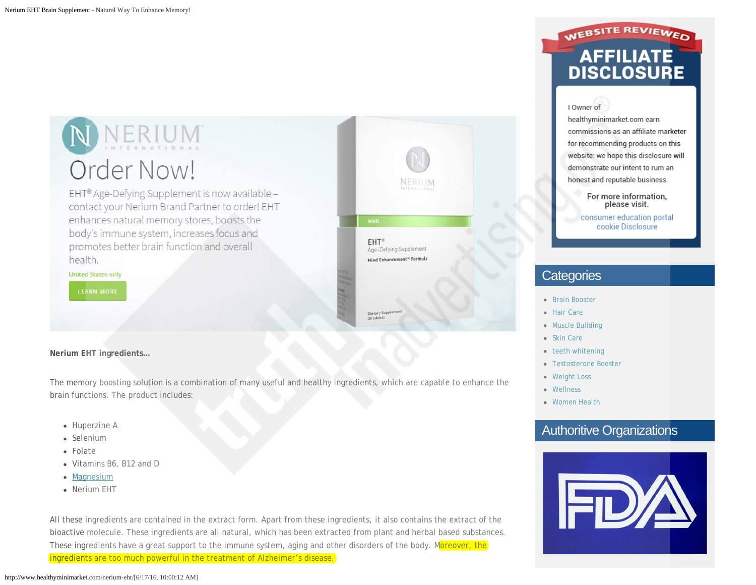NNERIUM Order Now!

EHT® Age-Defying Supplement is now available contact your Nerium Brand Partner to order! EHT enhances natural memory stores, boosts the body's immune system, increases focus and promotes better brain function and overall health.

**United States only** 

**Nerium EHT ingredients…**

The memory boosting solution is a combination of many useful and healthy ingredients, which are capable to enhance the brain functions. The product includes:

- Huperzine A
- Selenium
- Folate
- Vitamins B6, B12 and D
- [Magnesium](http://examine.com/supplements/magnesium/)
- Nerium EHT

All these ingredients are contained in the extract form. Apart from these ingredients, it also contains the extract of the bioactive molecule. These ingredients are all natural, which has been extracted from plant and herbal based substances. These ingredients have a great support to the immune system, aging and other disorders of the body. Moreover, the ingredients are too much powerful in the treatment of Alzheimer's disease.



# WEBSITE REVIEWED **AFFILIATE**<br>DISCLOSURE

#### I Owner of

healthyminimarket.com earn commissions as an affiliate marketer for recommending products on this website: we hope this disclosure will demonstrate our intent to rum an honest and reputable business.

> For more information, please visit.

consumer education portal cookie Disclosure

### **Categories**

- [Brain Booster](http://www.healthyminimarket.com/category/brain-booster/)
- [Hair Care](http://www.healthyminimarket.com/category/hair-care/)
- [Muscle Building](http://www.healthyminimarket.com/category/muscle-building/)
- [Skin Care](http://www.healthyminimarket.com/category/skin-care/)
- [teeth whitening](http://www.healthyminimarket.com/category/teeth-whitening/)
- [Testosterone Booster](http://www.healthyminimarket.com/category/testosterone-booster/)
- [Weight Loss](http://www.healthyminimarket.com/category/weight-loss/)
- [Wellness](http://www.healthyminimarket.com/category/wellness/)
- [Women Health](http://www.healthyminimarket.com/category/women-health/)

# Authoritive Organizations

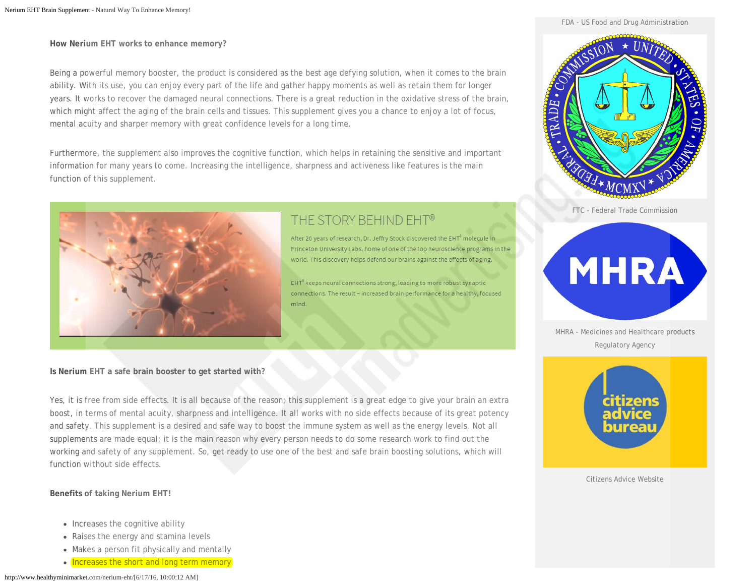FDA - US Food and Drug Administration

**How Nerium EHT works to enhance memory?**

Being a powerful memory booster, the product is considered as the best age defying solution, when it comes to the brain ability. With its use, you can enjoy every part of the life and gather happy moments as well as retain them for longer years. It works to recover the damaged neural connections. There is a great reduction in the oxidative stress of the brain, which might affect the aging of the brain cells and tissues. This supplement gives you a chance to enjoy a lot of focus, mental acuity and sharper memory with great confidence levels for a long time.

Furthermore, the supplement also improves the cognitive function, which helps in retaining the sensitive and important information for many years to come. Increasing the intelligence, sharpness and activeness like features is the main function of this supplement.



# THE STORY BEHIND EHT®

After 20 years of research, Dr. Jeffry Stock discovered the EHT<sup>8</sup> molecule in Princeton University Labs, home of one of the top neuroscience programs in the world. This discovery helps defend our brains against the effects of aging.

EHT<sup>®</sup> keeps neural connections strong, leading to more robust synaptic connections. The result - increased brain performance for a healthy, focused mind

#### **Is Nerium EHT a safe brain booster to get started with?**

Yes, it is free from side effects. It is all because of the reason; this supplement is a great edge to give your brain an extra boost, in terms of mental acuity, sharpness and intelligence. It all works with no side effects because of its great potency and safety. This supplement is a desired and safe way to boost the immune system as well as the energy levels. Not all supplements are made equal; it is the main reason why every person needs to do some research work to find out the working and safety of any supplement. So, get ready to use one of the best and safe brain boosting solutions, which will function without side effects.

**Benefits of taking Nerium EHT!**

- Increases the cognitive ability
- Raises the energy and stamina levels
- Makes a person fit physically and mentally
- Increases the short and long term memory



FTC - Federal Trade Commission



MHRA - Medicines and Healthcare products Regulatory Agency



Citizens Advice Website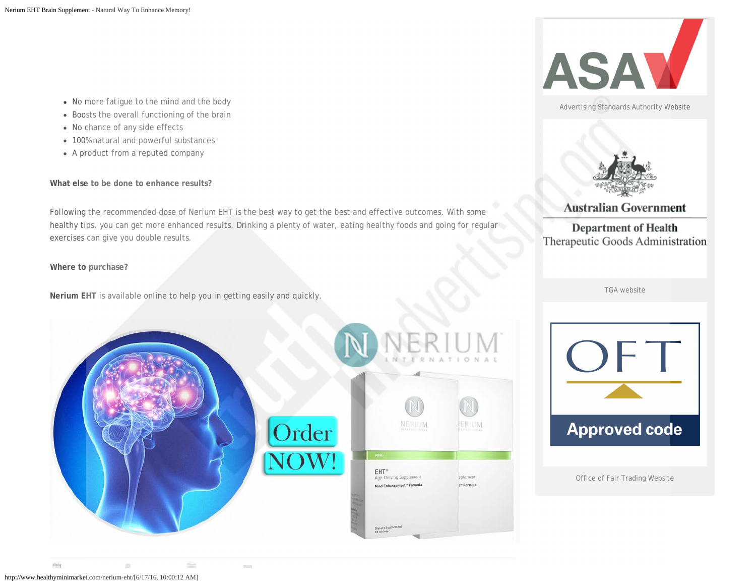- No more fatigue to the mind and the body
- Boosts the overall functioning of the brain
- No chance of any side effects
- 100% natural and powerful substances
- A product from a reputed company

**What else to be done to enhance results?**

Following the recommended dose of Nerium EHT is the best way to get the best and effective outcomes. With some healthy tips, you can get more enhanced results. Drinking a plenty of water, eating healthy foods and going for regular exercises can give you double results.

**Where to purchase?**

**Nerium EHT** is available online to help you in getting easily and quickly.

 $\mathcal{C}$ 

 $\sim$ 





Advertising Standards Authority Website



#### **Australian Government**

#### **Department of Health** Therapeutic Goods Administration

TGA website



Office of Fair Trading Website

plate